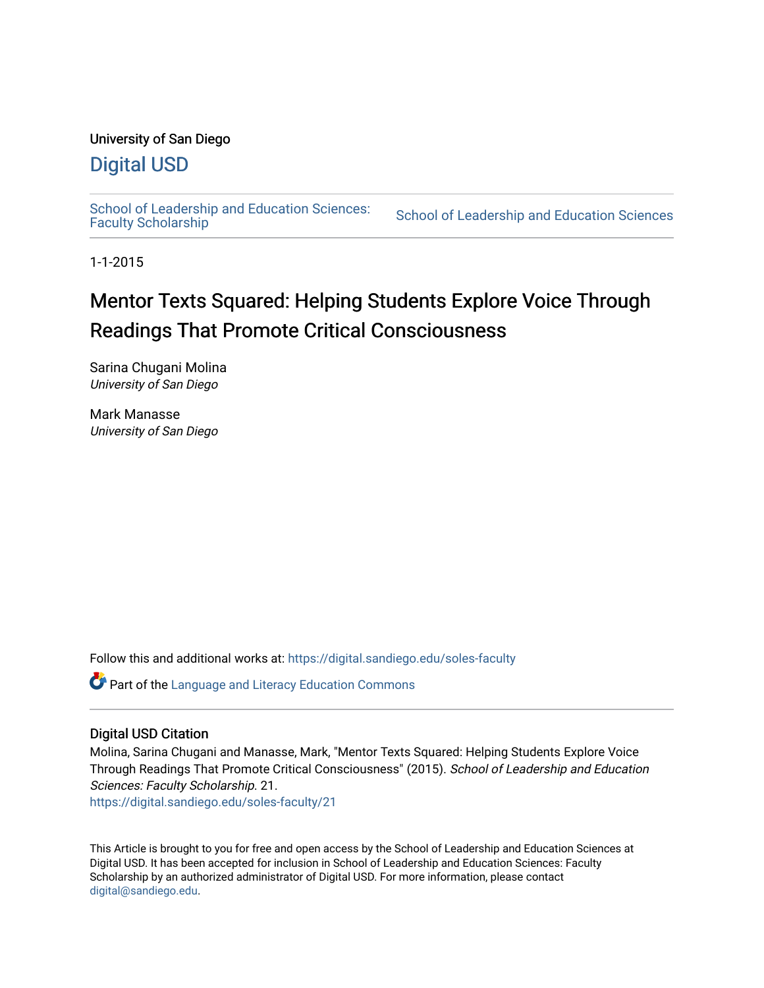## University of San Diego

## [Digital USD](https://digital.sandiego.edu/)

School of Leadership and Education Sciences:<br>Faculty Scholarship

School of Leadership and Education Sciences

1-1-2015

# Mentor Texts Squared: Helping Students Explore Voice Through Readings That Promote Critical Consciousness

Sarina Chugani Molina University of San Diego

Mark Manasse University of San Diego

Follow this and additional works at: [https://digital.sandiego.edu/soles-faculty](https://digital.sandiego.edu/soles-faculty?utm_source=digital.sandiego.edu%2Fsoles-faculty%2F21&utm_medium=PDF&utm_campaign=PDFCoverPages) 

**Part of the Language and Literacy Education Commons** 

## Digital USD Citation

Molina, Sarina Chugani and Manasse, Mark, "Mentor Texts Squared: Helping Students Explore Voice Through Readings That Promote Critical Consciousness" (2015). School of Leadership and Education Sciences: Faculty Scholarship. 21.

[https://digital.sandiego.edu/soles-faculty/21](https://digital.sandiego.edu/soles-faculty/21?utm_source=digital.sandiego.edu%2Fsoles-faculty%2F21&utm_medium=PDF&utm_campaign=PDFCoverPages) 

This Article is brought to you for free and open access by the School of Leadership and Education Sciences at Digital USD. It has been accepted for inclusion in School of Leadership and Education Sciences: Faculty Scholarship by an authorized administrator of Digital USD. For more information, please contact [digital@sandiego.edu](mailto:digital@sandiego.edu).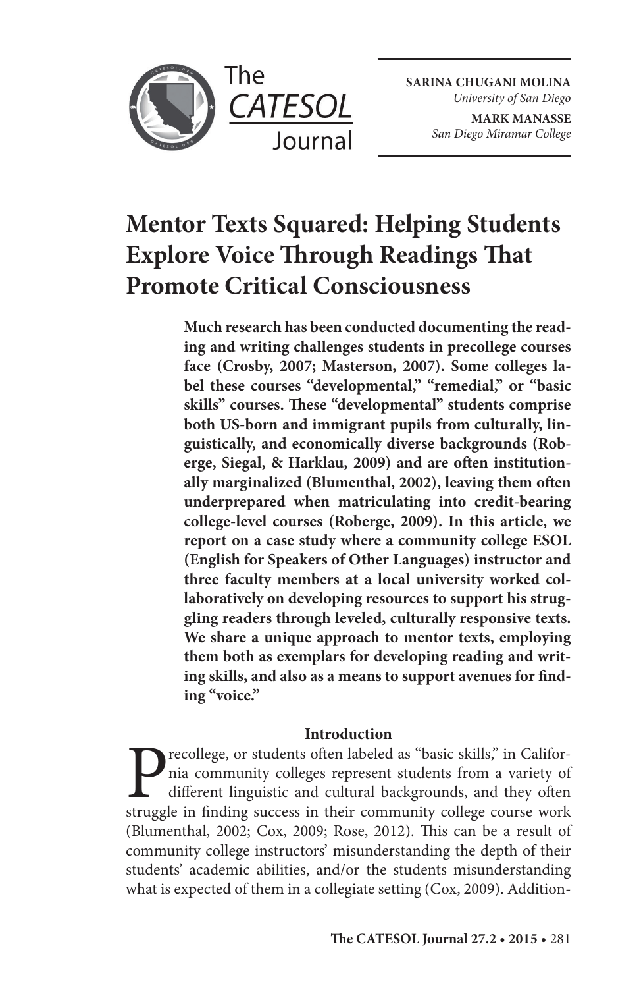

The

**SARINA CHUGANI MOLINA** *University of San Diego* **MARK MANASSE** *San Diego Miramar College*

## **Mentor Texts Squared: Helping Students Explore Voice Through Readings That Promote Critical Consciousness**

**Much research has been conducted documenting the reading and writing challenges students in precollege courses face (Crosby, 2007; Masterson, 2007). Some colleges label these courses "developmental," "remedial," or "basic**  skills" courses. These "developmental" students comprise **both US-born and immigrant pupils from culturally, linguistically, and economically diverse backgrounds (Rob**erge, Siegal, & Harklau, 2009) and are often institutionally marginalized (Blumenthal, 2002), leaving them often **underprepared when matriculating into credit-bearing college-level courses (Roberge, 2009). In this article, we report on a case study where a community college ESOL (English for Speakers of Other Languages) instructor and three faculty members at a local university worked collaboratively on developing resources to support his struggling readers through leveled, culturally responsive texts. We share a unique approach to mentor texts, employing them both as exemplars for developing reading and writ**ing skills, and also as a means to support avenues for find**ing "voice."**

## **Introduction**

Precollege, or students often labeled as "basic skills," in California community colleges represent students from a variety of different linguistic and cultural backgrounds, and they often struggle in finding success in th nia community colleges represent students from a variety of different linguistic and cultural backgrounds, and they often struggle in finding success in their community college course work (Blumenthal, 2002; Cox, 2009; Rose, 2012). This can be a result of community college instructors' misunderstanding the depth of their students' academic abilities, and/or the students misunderstanding what is expected of them in a collegiate setting (Cox, 2009). Addition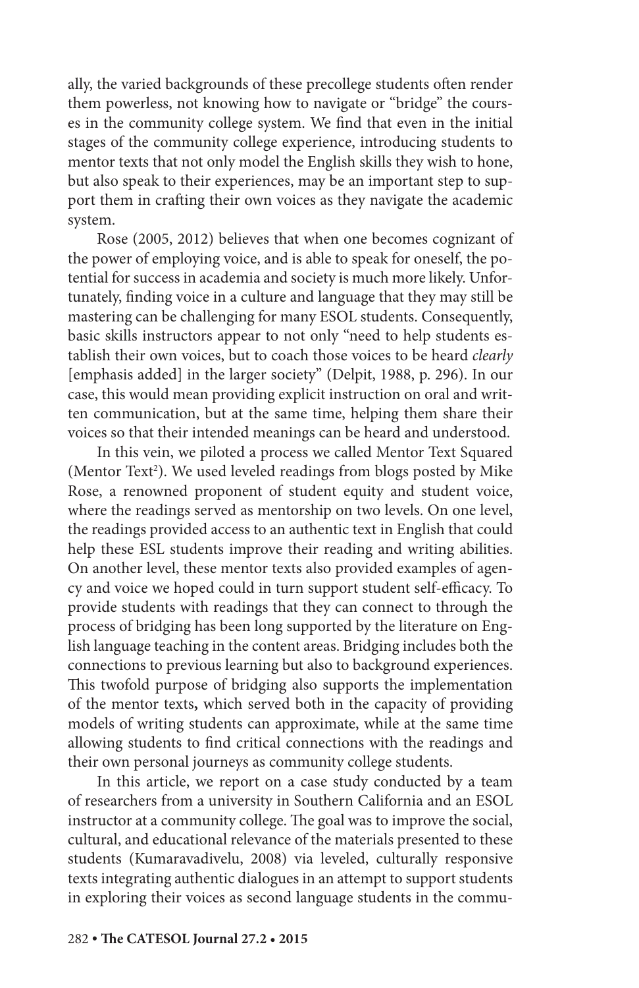ally, the varied backgrounds of these precollege students often render them powerless, not knowing how to navigate or "bridge" the courses in the community college system. We find that even in the initial stages of the community college experience, introducing students to mentor texts that not only model the English skills they wish to hone, but also speak to their experiences, may be an important step to support them in crafting their own voices as they navigate the academic system.

Rose (2005, 2012) believes that when one becomes cognizant of the power of employing voice, and is able to speak for oneself, the potential for success in academia and society is much more likely. Unfortunately, finding voice in a culture and language that they may still be mastering can be challenging for many ESOL students. Consequently, basic skills instructors appear to not only "need to help students establish their own voices, but to coach those voices to be heard *clearly* [emphasis added] in the larger society" (Delpit, 1988, p. 296). In our case, this would mean providing explicit instruction on oral and written communication, but at the same time, helping them share their voices so that their intended meanings can be heard and understood.

In this vein, we piloted a process we called Mentor Text Squared (Mentor Text<sup>2</sup>). We used leveled readings from blogs posted by Mike Rose, a renowned proponent of student equity and student voice, where the readings served as mentorship on two levels. On one level, the readings provided access to an authentic text in English that could help these ESL students improve their reading and writing abilities. On another level, these mentor texts also provided examples of agency and voice we hoped could in turn support student self-efficacy. To provide students with readings that they can connect to through the process of bridging has been long supported by the literature on English language teaching in the content areas. Bridging includes both the connections to previous learning but also to background experiences. This twofold purpose of bridging also supports the implementation of the mentor texts**,** which served both in the capacity of providing models of writing students can approximate, while at the same time allowing students to find critical connections with the readings and their own personal journeys as community college students.

In this article, we report on a case study conducted by a team of researchers from a university in Southern California and an ESOL instructor at a community college. The goal was to improve the social, cultural, and educational relevance of the materials presented to these students (Kumaravadivelu, 2008) via leveled, culturally responsive texts integrating authentic dialogues in an attempt to support students in exploring their voices as second language students in the commu-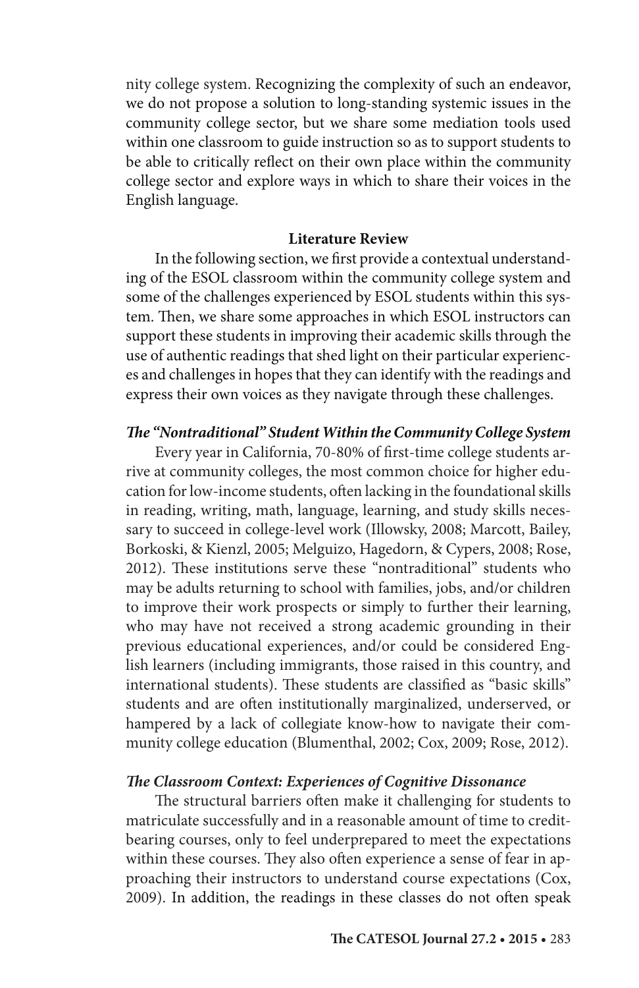nity college system. Recognizing the complexity of such an endeavor, we do not propose a solution to long-standing systemic issues in the community college sector, but we share some mediation tools used within one classroom to guide instruction so as to support students to be able to critically reflect on their own place within the community college sector and explore ways in which to share their voices in the English language.

#### **Literature Review**

In the following section, we first provide a contextual understanding of the ESOL classroom within the community college system and some of the challenges experienced by ESOL students within this system. Then, we share some approaches in which ESOL instructors can support these students in improving their academic skills through the use of authentic readings that shed light on their particular experiences and challenges in hopes that they can identify with the readings and express their own voices as they navigate through these challenges.

## *The "Nontraditional" Student Within the Community College System*

Every year in California, 70-80% of first-time college students arrive at community colleges, the most common choice for higher education for low-income students, often lacking in the foundational skills in reading, writing, math, language, learning, and study skills necessary to succeed in college-level work (Illowsky, 2008; Marcott, Bailey, Borkoski, & Kienzl, 2005; Melguizo, Hagedorn, & Cypers, 2008; Rose, 2012). These institutions serve these "nontraditional" students who may be adults returning to school with families, jobs, and/or children to improve their work prospects or simply to further their learning, who may have not received a strong academic grounding in their previous educational experiences, and/or could be considered English learners (including immigrants, those raised in this country, and international students). These students are classified as "basic skills" students and are often institutionally marginalized, underserved, or hampered by a lack of collegiate know-how to navigate their community college education (Blumenthal, 2002; Cox, 2009; Rose, 2012).

#### *The Classroom Context: Experiences of Cognitive Dissonance*

The structural barriers often make it challenging for students to matriculate successfully and in a reasonable amount of time to creditbearing courses, only to feel underprepared to meet the expectations within these courses. They also often experience a sense of fear in approaching their instructors to understand course expectations (Cox, 2009). In addition, the readings in these classes do not often speak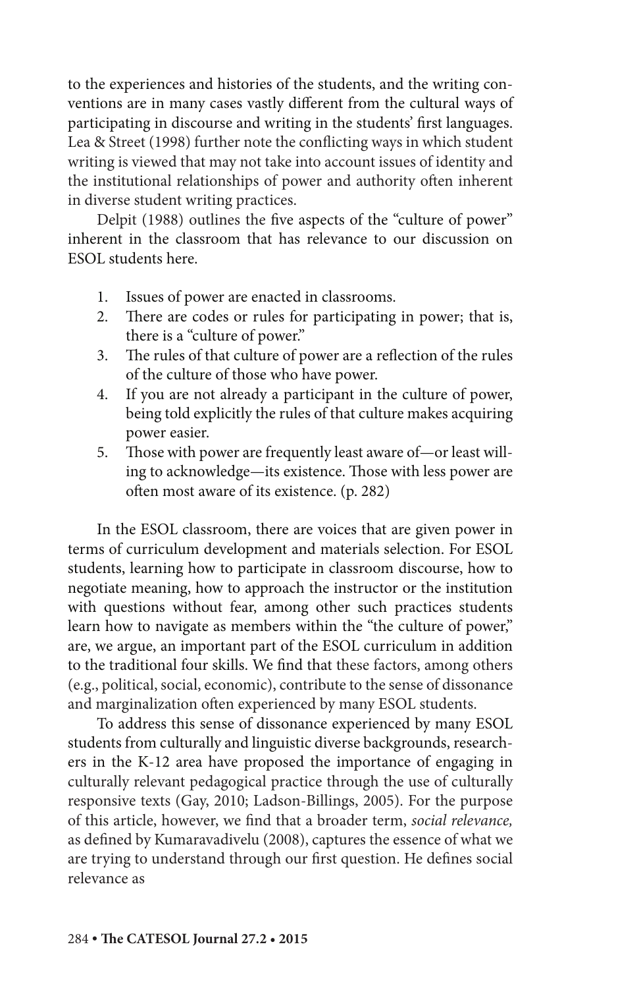to the experiences and histories of the students, and the writing conventions are in many cases vastly different from the cultural ways of participating in discourse and writing in the students' first languages. Lea & Street (1998) further note the conflicting ways in which student writing is viewed that may not take into account issues of identity and the institutional relationships of power and authority often inherent in diverse student writing practices.

Delpit (1988) outlines the five aspects of the "culture of power" inherent in the classroom that has relevance to our discussion on ESOL students here.

- 1. Issues of power are enacted in classrooms.
- 2. There are codes or rules for participating in power; that is, there is a "culture of power."
- 3. The rules of that culture of power are a reflection of the rules of the culture of those who have power.
- 4. If you are not already a participant in the culture of power, being told explicitly the rules of that culture makes acquiring power easier.
- 5. Those with power are frequently least aware of—or least willing to acknowledge—its existence. Those with less power are often most aware of its existence. (p. 282)

In the ESOL classroom, there are voices that are given power in terms of curriculum development and materials selection. For ESOL students, learning how to participate in classroom discourse, how to negotiate meaning, how to approach the instructor or the institution with questions without fear, among other such practices students learn how to navigate as members within the "the culture of power," are, we argue, an important part of the ESOL curriculum in addition to the traditional four skills. We find that these factors, among others (e.g., political, social, economic), contribute to the sense of dissonance and marginalization often experienced by many ESOL students.

To address this sense of dissonance experienced by many ESOL students from culturally and linguistic diverse backgrounds, researchers in the K-12 area have proposed the importance of engaging in culturally relevant pedagogical practice through the use of culturally responsive texts (Gay, 2010; Ladson-Billings, 2005). For the purpose of this article, however, we find that a broader term, *social relevance,* as defined by Kumaravadivelu (2008), captures the essence of what we are trying to understand through our first question. He defines social relevance as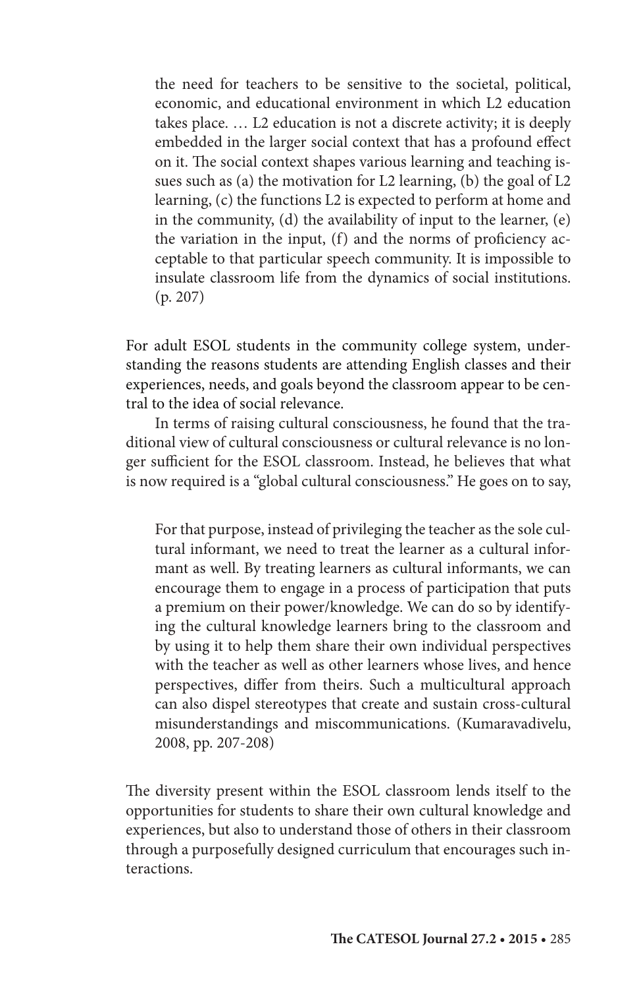the need for teachers to be sensitive to the societal, political, economic, and educational environment in which L2 education takes place. … L2 education is not a discrete activity; it is deeply embedded in the larger social context that has a profound effect on it. The social context shapes various learning and teaching issues such as (a) the motivation for L2 learning, (b) the goal of L2 learning, (c) the functions L2 is expected to perform at home and in the community, (d) the availability of input to the learner, (e) the variation in the input, (f) and the norms of proficiency acceptable to that particular speech community. It is impossible to insulate classroom life from the dynamics of social institutions. (p. 207)

For adult ESOL students in the community college system, understanding the reasons students are attending English classes and their experiences, needs, and goals beyond the classroom appear to be central to the idea of social relevance.

In terms of raising cultural consciousness, he found that the traditional view of cultural consciousness or cultural relevance is no longer sufficient for the ESOL classroom. Instead, he believes that what is now required is a "global cultural consciousness." He goes on to say,

For that purpose, instead of privileging the teacher as the sole cultural informant, we need to treat the learner as a cultural informant as well. By treating learners as cultural informants, we can encourage them to engage in a process of participation that puts a premium on their power/knowledge. We can do so by identifying the cultural knowledge learners bring to the classroom and by using it to help them share their own individual perspectives with the teacher as well as other learners whose lives, and hence perspectives, differ from theirs. Such a multicultural approach can also dispel stereotypes that create and sustain cross-cultural misunderstandings and miscommunications. (Kumaravadivelu, 2008, pp. 207-208)

The diversity present within the ESOL classroom lends itself to the opportunities for students to share their own cultural knowledge and experiences, but also to understand those of others in their classroom through a purposefully designed curriculum that encourages such interactions.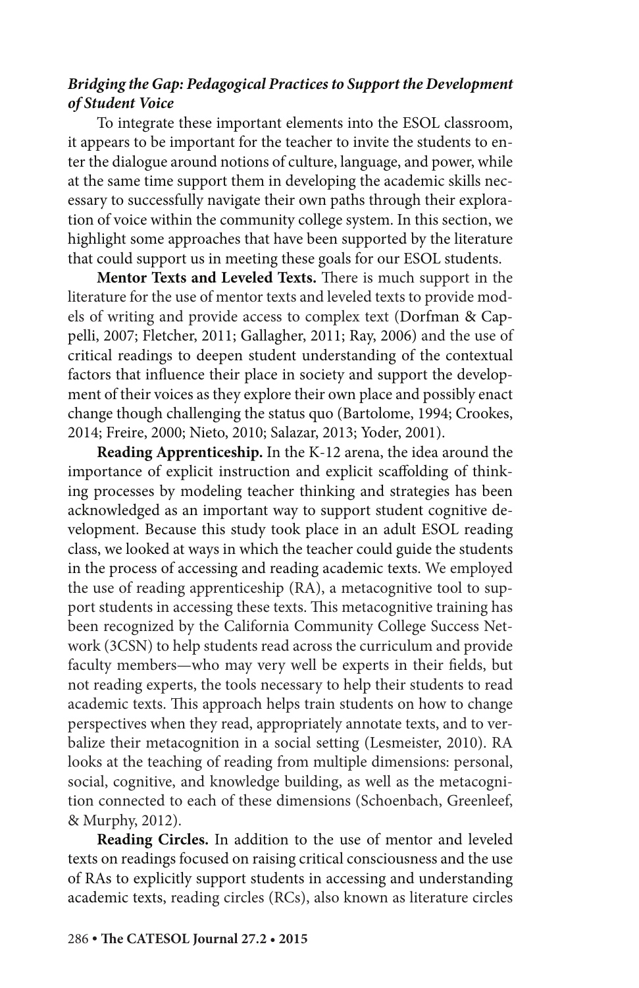## *Bridging the Gap: Pedagogical Practices to Support the Development of Student Voice*

To integrate these important elements into the ESOL classroom, it appears to be important for the teacher to invite the students to enter the dialogue around notions of culture, language, and power, while at the same time support them in developing the academic skills necessary to successfully navigate their own paths through their exploration of voice within the community college system. In this section, we highlight some approaches that have been supported by the literature that could support us in meeting these goals for our ESOL students.

**Mentor Texts and Leveled Texts.** There is much support in the literature for the use of mentor texts and leveled texts to provide models of writing and provide access to complex text (Dorfman & Cappelli, 2007; Fletcher, 2011; Gallagher, 2011; Ray, 2006) and the use of critical readings to deepen student understanding of the contextual factors that influence their place in society and support the development of their voices as they explore their own place and possibly enact change though challenging the status quo (Bartolome, 1994; Crookes, 2014; Freire, 2000; Nieto, 2010; Salazar, 2013; Yoder, 2001).

**Reading Apprenticeship.** In the K-12 arena, the idea around the importance of explicit instruction and explicit scaffolding of thinking processes by modeling teacher thinking and strategies has been acknowledged as an important way to support student cognitive development. Because this study took place in an adult ESOL reading class, we looked at ways in which the teacher could guide the students in the process of accessing and reading academic texts. We employed the use of reading apprenticeship (RA), a metacognitive tool to support students in accessing these texts. This metacognitive training has been recognized by the California Community College Success Network (3CSN) to help students read across the curriculum and provide faculty members—who may very well be experts in their fields, but not reading experts, the tools necessary to help their students to read academic texts. This approach helps train students on how to change perspectives when they read, appropriately annotate texts, and to verbalize their metacognition in a social setting (Lesmeister, 2010). RA looks at the teaching of reading from multiple dimensions: personal, social, cognitive, and knowledge building, as well as the metacognition connected to each of these dimensions (Schoenbach, Greenleef, & Murphy, 2012).

**Reading Circles.** In addition to the use of mentor and leveled texts on readings focused on raising critical consciousness and the use of RAs to explicitly support students in accessing and understanding academic texts, reading circles (RCs), also known as literature circles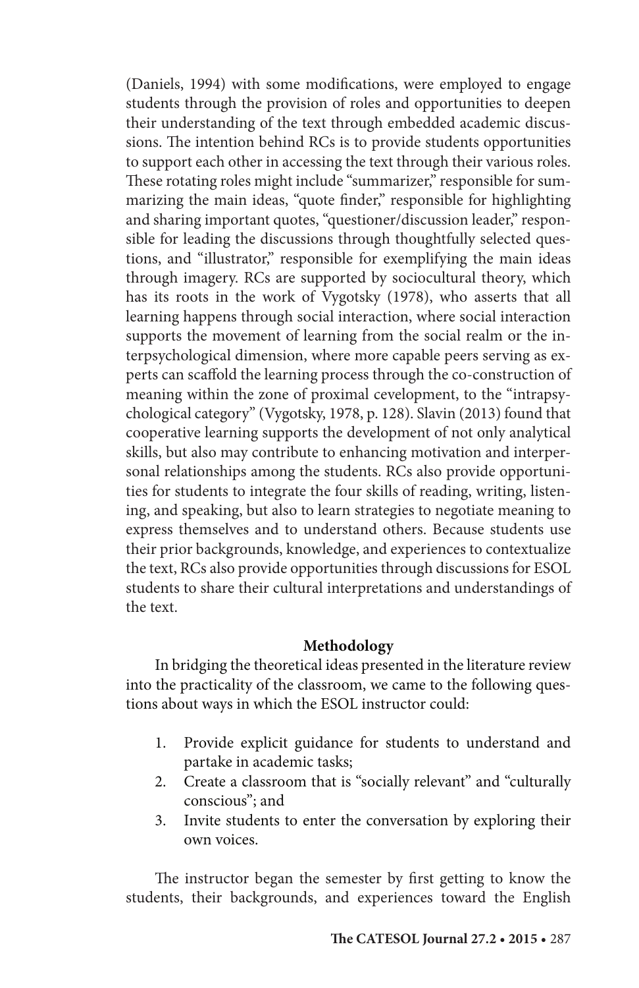(Daniels, 1994) with some modifications, were employed to engage students through the provision of roles and opportunities to deepen their understanding of the text through embedded academic discussions. The intention behind RCs is to provide students opportunities to support each other in accessing the text through their various roles. These rotating roles might include "summarizer," responsible for summarizing the main ideas, "quote finder," responsible for highlighting and sharing important quotes, "questioner/discussion leader," responsible for leading the discussions through thoughtfully selected questions, and "illustrator," responsible for exemplifying the main ideas through imagery. RCs are supported by sociocultural theory, which has its roots in the work of Vygotsky (1978), who asserts that all learning happens through social interaction, where social interaction supports the movement of learning from the social realm or the interpsychological dimension, where more capable peers serving as experts can scaffold the learning process through the co-construction of meaning within the zone of proximal cevelopment, to the "intrapsychological category" (Vygotsky, 1978, p. 128). Slavin (2013) found that cooperative learning supports the development of not only analytical skills, but also may contribute to enhancing motivation and interpersonal relationships among the students. RCs also provide opportunities for students to integrate the four skills of reading, writing, listening, and speaking, but also to learn strategies to negotiate meaning to express themselves and to understand others. Because students use their prior backgrounds, knowledge, and experiences to contextualize the text, RCs also provide opportunities through discussions for ESOL students to share their cultural interpretations and understandings of the text.

## **Methodology**

In bridging the theoretical ideas presented in the literature review into the practicality of the classroom, we came to the following questions about ways in which the ESOL instructor could:

- 1. Provide explicit guidance for students to understand and partake in academic tasks;
- 2. Create a classroom that is "socially relevant" and "culturally conscious"; and
- 3. Invite students to enter the conversation by exploring their own voices.

The instructor began the semester by first getting to know the students, their backgrounds, and experiences toward the English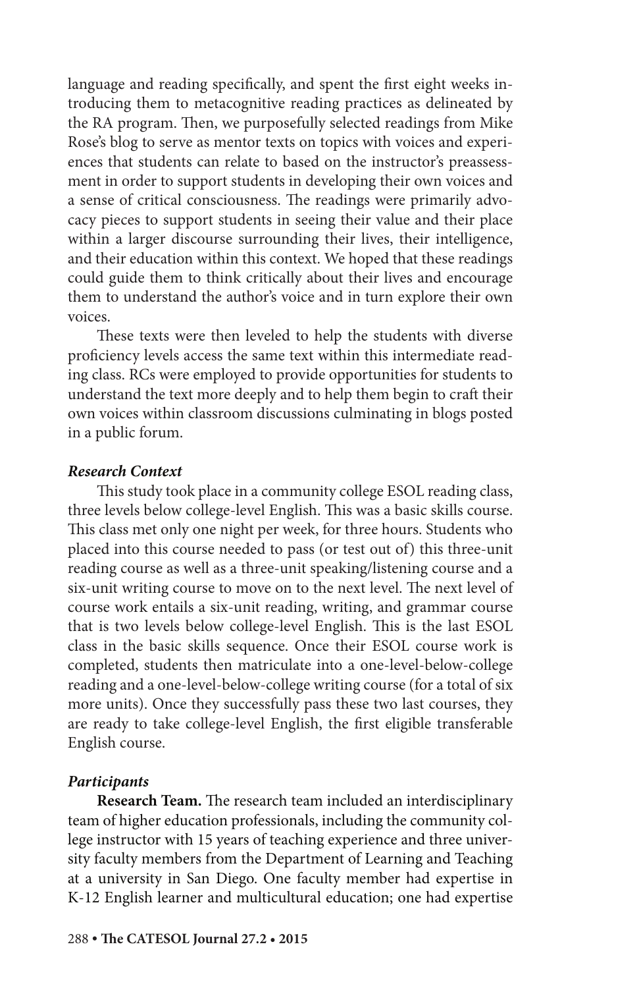language and reading specifically, and spent the first eight weeks introducing them to metacognitive reading practices as delineated by the RA program. Then, we purposefully selected readings from Mike Rose's blog to serve as mentor texts on topics with voices and experiences that students can relate to based on the instructor's preassessment in order to support students in developing their own voices and a sense of critical consciousness. The readings were primarily advocacy pieces to support students in seeing their value and their place within a larger discourse surrounding their lives, their intelligence, and their education within this context. We hoped that these readings could guide them to think critically about their lives and encourage them to understand the author's voice and in turn explore their own voices.

These texts were then leveled to help the students with diverse proficiency levels access the same text within this intermediate reading class. RCs were employed to provide opportunities for students to understand the text more deeply and to help them begin to craft their own voices within classroom discussions culminating in blogs posted in a public forum.

## *Research Context*

This study took place in a community college ESOL reading class, three levels below college-level English. This was a basic skills course. This class met only one night per week, for three hours. Students who placed into this course needed to pass (or test out of) this three-unit reading course as well as a three-unit speaking/listening course and a six-unit writing course to move on to the next level. The next level of course work entails a six-unit reading, writing, and grammar course that is two levels below college-level English. This is the last ESOL class in the basic skills sequence. Once their ESOL course work is completed, students then matriculate into a one-level-below-college reading and a one-level-below-college writing course (for a total of six more units). Once they successfully pass these two last courses, they are ready to take college-level English, the first eligible transferable English course.

## *Participants*

**Research Team.** The research team included an interdisciplinary team of higher education professionals, including the community college instructor with 15 years of teaching experience and three university faculty members from the Department of Learning and Teaching at a university in San Diego. One faculty member had expertise in K-12 English learner and multicultural education; one had expertise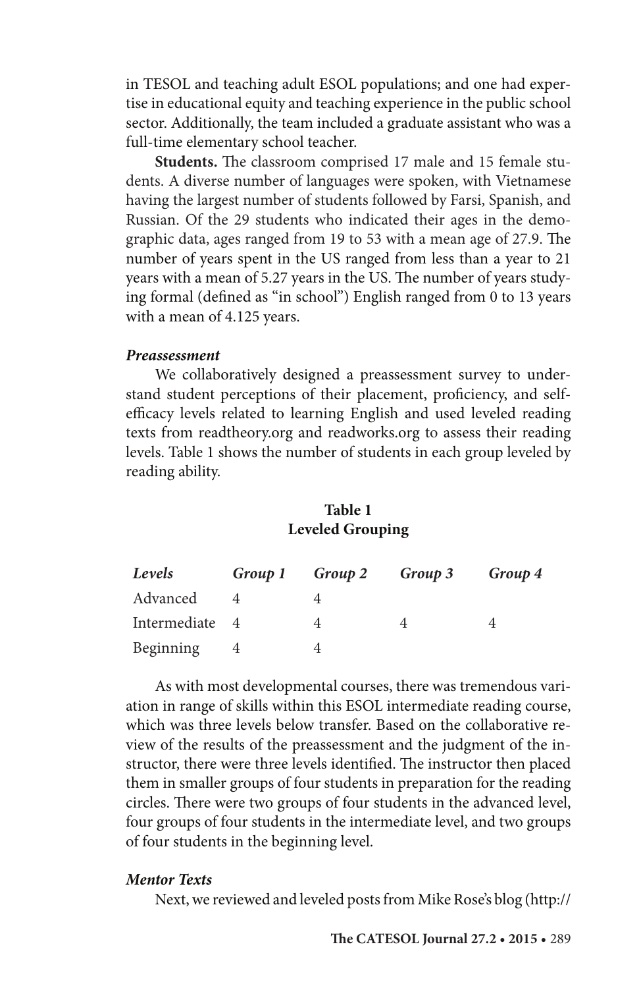in TESOL and teaching adult ESOL populations; and one had expertise in educational equity and teaching experience in the public school sector. Additionally, the team included a graduate assistant who was a full-time elementary school teacher.

**Students.** The classroom comprised 17 male and 15 female students. A diverse number of languages were spoken, with Vietnamese having the largest number of students followed by Farsi, Spanish, and Russian. Of the 29 students who indicated their ages in the demographic data, ages ranged from 19 to 53 with a mean age of 27.9. The number of years spent in the US ranged from less than a year to 21 years with a mean of 5.27 years in the US. The number of years studying formal (defined as "in school") English ranged from 0 to 13 years with a mean of 4.125 years.

#### *Preassessment*

We collaboratively designed a preassessment survey to understand student perceptions of their placement, proficiency, and selfefficacy levels related to learning English and used leveled reading texts from readtheory.org and readworks.org to assess their reading levels. Table 1 shows the number of students in each group leveled by reading ability.

## **Table 1 Leveled Grouping**

| Levels         | Group 1 Group 2 | Group 3 | Group 4 |
|----------------|-----------------|---------|---------|
| Advanced       |                 |         |         |
| Intermediate 4 |                 |         |         |
| Beginning      |                 |         |         |

As with most developmental courses, there was tremendous variation in range of skills within this ESOL intermediate reading course, which was three levels below transfer. Based on the collaborative review of the results of the preassessment and the judgment of the instructor, there were three levels identified. The instructor then placed them in smaller groups of four students in preparation for the reading circles. There were two groups of four students in the advanced level, four groups of four students in the intermediate level, and two groups of four students in the beginning level.

## *Mentor Texts*

Next, we reviewed and leveled posts from Mike Rose's blog (http://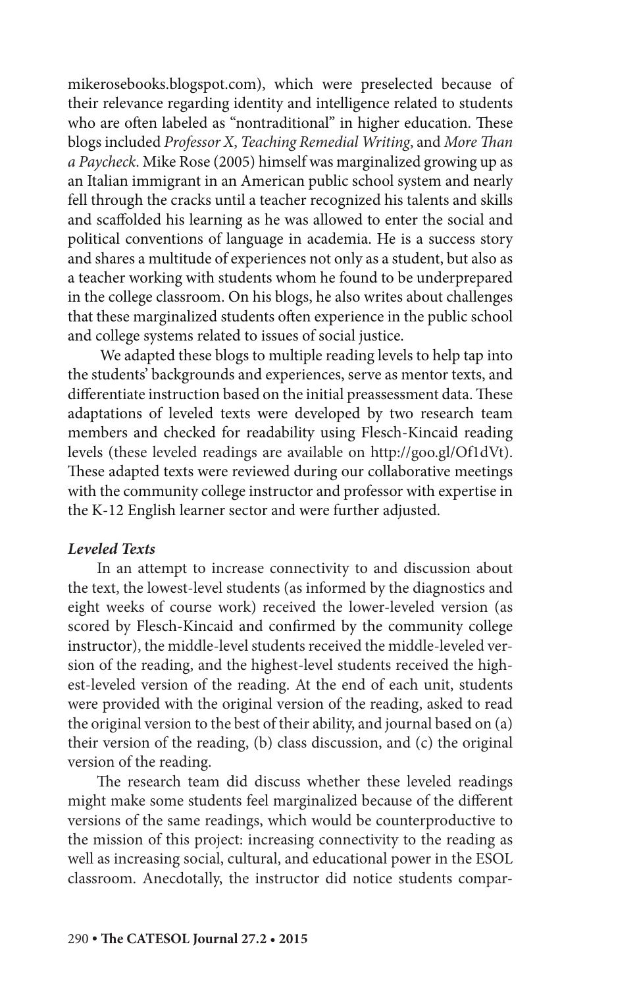mikerosebooks.blogspot.com), which were preselected because of their relevance regarding identity and intelligence related to students who are often labeled as "nontraditional" in higher education. These blogs included *Professor X*, *Teaching Remedial Writing*, and *More Than a Paycheck*. Mike Rose (2005) himself was marginalized growing up as an Italian immigrant in an American public school system and nearly fell through the cracks until a teacher recognized his talents and skills and scaffolded his learning as he was allowed to enter the social and political conventions of language in academia. He is a success story and shares a multitude of experiences not only as a student, but also as a teacher working with students whom he found to be underprepared in the college classroom. On his blogs, he also writes about challenges that these marginalized students often experience in the public school and college systems related to issues of social justice.

 We adapted these blogs to multiple reading levels to help tap into the students' backgrounds and experiences, serve as mentor texts, and differentiate instruction based on the initial preassessment data. These adaptations of leveled texts were developed by two research team members and checked for readability using Flesch-Kincaid reading levels (these leveled readings are available on http://goo.gl/Of1dVt). These adapted texts were reviewed during our collaborative meetings with the community college instructor and professor with expertise in the K-12 English learner sector and were further adjusted.

## *Leveled Texts*

In an attempt to increase connectivity to and discussion about the text, the lowest-level students (as informed by the diagnostics and eight weeks of course work) received the lower-leveled version (as scored by Flesch-Kincaid and confirmed by the community college instructor), the middle-level students received the middle-leveled version of the reading, and the highest-level students received the highest-leveled version of the reading. At the end of each unit, students were provided with the original version of the reading, asked to read the original version to the best of their ability, and journal based on (a) their version of the reading, (b) class discussion, and (c) the original version of the reading.

The research team did discuss whether these leveled readings might make some students feel marginalized because of the different versions of the same readings, which would be counterproductive to the mission of this project: increasing connectivity to the reading as well as increasing social, cultural, and educational power in the ESOL classroom. Anecdotally, the instructor did notice students compar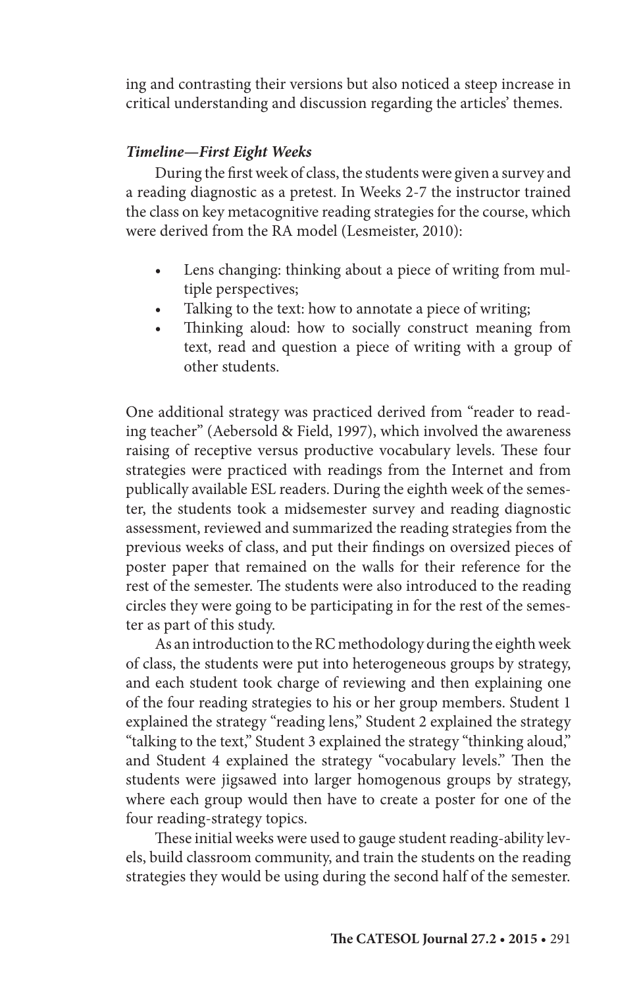ing and contrasting their versions but also noticed a steep increase in critical understanding and discussion regarding the articles' themes.

## *Timeline—First Eight Weeks*

During the first week of class, the students were given a survey and a reading diagnostic as a pretest. In Weeks 2-7 the instructor trained the class on key metacognitive reading strategies for the course, which were derived from the RA model (Lesmeister, 2010):

- Lens changing: thinking about a piece of writing from multiple perspectives;
- Talking to the text: how to annotate a piece of writing;
- Thinking aloud: how to socially construct meaning from text, read and question a piece of writing with a group of other students.

One additional strategy was practiced derived from "reader to reading teacher" (Aebersold & Field, 1997), which involved the awareness raising of receptive versus productive vocabulary levels. These four strategies were practiced with readings from the Internet and from publically available ESL readers. During the eighth week of the semester, the students took a midsemester survey and reading diagnostic assessment, reviewed and summarized the reading strategies from the previous weeks of class, and put their findings on oversized pieces of poster paper that remained on the walls for their reference for the rest of the semester. The students were also introduced to the reading circles they were going to be participating in for the rest of the semester as part of this study.

As an introduction to the RC methodology during the eighth week of class, the students were put into heterogeneous groups by strategy, and each student took charge of reviewing and then explaining one of the four reading strategies to his or her group members. Student 1 explained the strategy "reading lens," Student 2 explained the strategy "talking to the text," Student 3 explained the strategy "thinking aloud," and Student 4 explained the strategy "vocabulary levels." Then the students were jigsawed into larger homogenous groups by strategy, where each group would then have to create a poster for one of the four reading-strategy topics.

These initial weeks were used to gauge student reading-ability levels, build classroom community, and train the students on the reading strategies they would be using during the second half of the semester.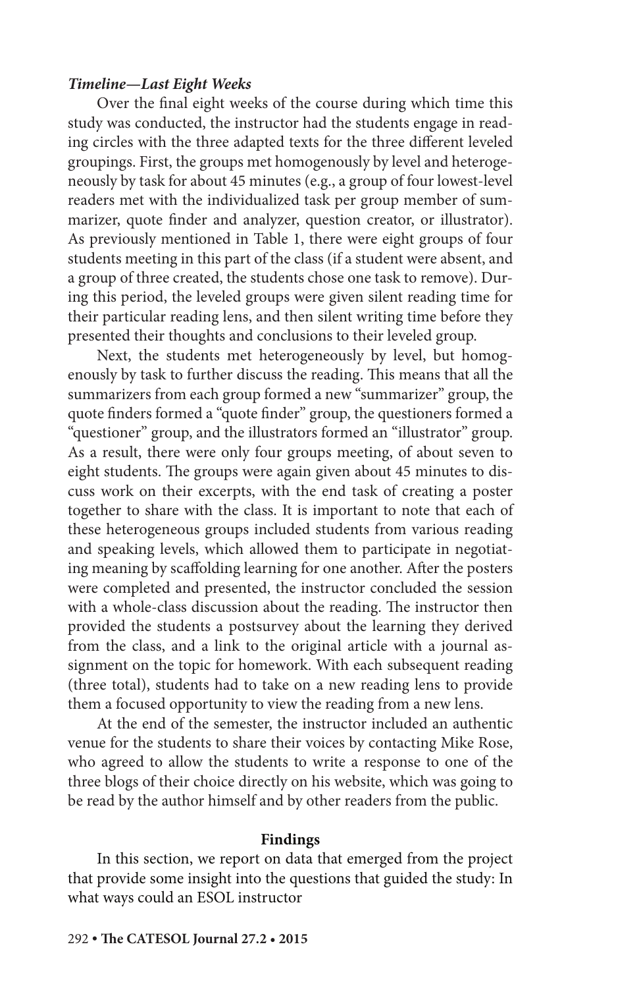## *Timeline—Last Eight Weeks*

Over the final eight weeks of the course during which time this study was conducted, the instructor had the students engage in reading circles with the three adapted texts for the three different leveled groupings. First, the groups met homogenously by level and heterogeneously by task for about 45 minutes (e.g., a group of four lowest-level readers met with the individualized task per group member of summarizer, quote finder and analyzer, question creator, or illustrator). As previously mentioned in Table 1, there were eight groups of four students meeting in this part of the class (if a student were absent, and a group of three created, the students chose one task to remove). During this period, the leveled groups were given silent reading time for their particular reading lens, and then silent writing time before they presented their thoughts and conclusions to their leveled group.

Next, the students met heterogeneously by level, but homogenously by task to further discuss the reading. This means that all the summarizers from each group formed a new "summarizer" group, the quote finders formed a "quote finder" group, the questioners formed a "questioner" group, and the illustrators formed an "illustrator" group. As a result, there were only four groups meeting, of about seven to eight students. The groups were again given about 45 minutes to discuss work on their excerpts, with the end task of creating a poster together to share with the class. It is important to note that each of these heterogeneous groups included students from various reading and speaking levels, which allowed them to participate in negotiating meaning by scaffolding learning for one another. After the posters were completed and presented, the instructor concluded the session with a whole-class discussion about the reading. The instructor then provided the students a postsurvey about the learning they derived from the class, and a link to the original article with a journal assignment on the topic for homework. With each subsequent reading (three total), students had to take on a new reading lens to provide them a focused opportunity to view the reading from a new lens.

At the end of the semester, the instructor included an authentic venue for the students to share their voices by contacting Mike Rose, who agreed to allow the students to write a response to one of the three blogs of their choice directly on his website, which was going to be read by the author himself and by other readers from the public.

#### **Findings**

In this section, we report on data that emerged from the project that provide some insight into the questions that guided the study: In what ways could an ESOL instructor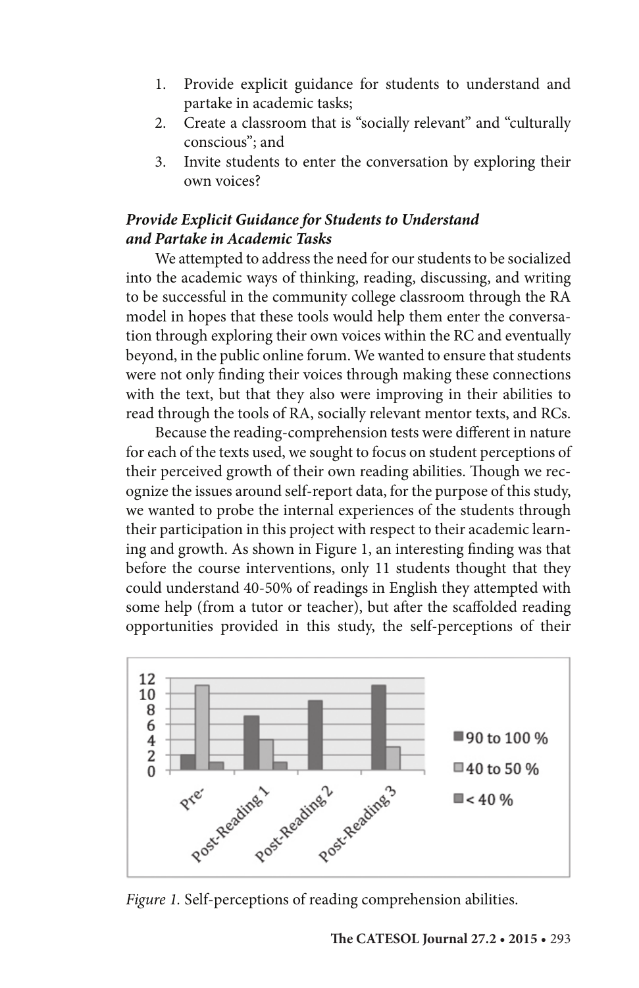- 1. Provide explicit guidance for students to understand and partake in academic tasks;
- 2. Create a classroom that is "socially relevant" and "culturally conscious"; and
- 3. Invite students to enter the conversation by exploring their own voices?

## *Provide Explicit Guidance for Students to Understand and Partake in Academic Tasks*

We attempted to address the need for our students to be socialized into the academic ways of thinking, reading, discussing, and writing to be successful in the community college classroom through the RA model in hopes that these tools would help them enter the conversation through exploring their own voices within the RC and eventually beyond, in the public online forum. We wanted to ensure that students were not only finding their voices through making these connections with the text, but that they also were improving in their abilities to read through the tools of RA, socially relevant mentor texts, and RCs.

Because the reading-comprehension tests were different in nature for each of the texts used, we sought to focus on student perceptions of their perceived growth of their own reading abilities. Though we recognize the issues around self-report data, for the purpose of this study, we wanted to probe the internal experiences of the students through their participation in this project with respect to their academic learning and growth. As shown in Figure 1, an interesting finding was that before the course interventions, only 11 students thought that they could understand 40-50% of readings in English they attempted with some help (from a tutor or teacher), but after the scaffolded reading opportunities provided in this study, the self-perceptions of their



*Figure 1.* Self-perceptions of reading comprehension abilities.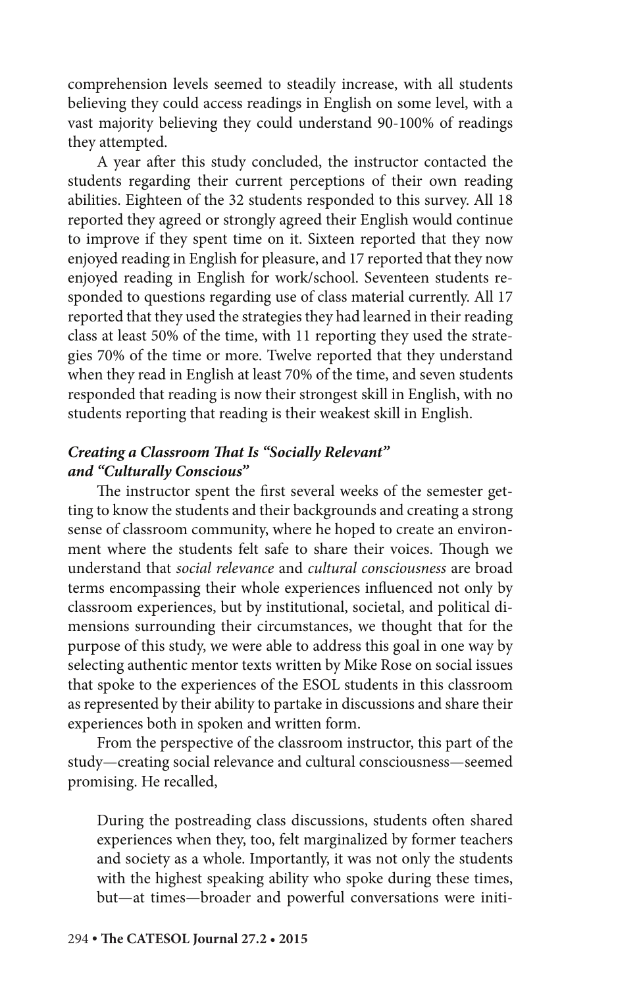comprehension levels seemed to steadily increase, with all students believing they could access readings in English on some level, with a vast majority believing they could understand 90-100% of readings they attempted.

A year after this study concluded, the instructor contacted the students regarding their current perceptions of their own reading abilities. Eighteen of the 32 students responded to this survey. All 18 reported they agreed or strongly agreed their English would continue to improve if they spent time on it. Sixteen reported that they now enjoyed reading in English for pleasure, and 17 reported that they now enjoyed reading in English for work/school. Seventeen students responded to questions regarding use of class material currently. All 17 reported that they used the strategies they had learned in their reading class at least 50% of the time, with 11 reporting they used the strategies 70% of the time or more. Twelve reported that they understand when they read in English at least 70% of the time, and seven students responded that reading is now their strongest skill in English, with no students reporting that reading is their weakest skill in English.

## *Creating a Classroom That Is "Socially Relevant" and "Culturally Conscious"*

The instructor spent the first several weeks of the semester getting to know the students and their backgrounds and creating a strong sense of classroom community, where he hoped to create an environment where the students felt safe to share their voices. Though we understand that *social relevance* and *cultural consciousness* are broad terms encompassing their whole experiences influenced not only by classroom experiences, but by institutional, societal, and political dimensions surrounding their circumstances, we thought that for the purpose of this study, we were able to address this goal in one way by selecting authentic mentor texts written by Mike Rose on social issues that spoke to the experiences of the ESOL students in this classroom as represented by their ability to partake in discussions and share their experiences both in spoken and written form.

From the perspective of the classroom instructor, this part of the study—creating social relevance and cultural consciousness—seemed promising. He recalled,

During the postreading class discussions, students often shared experiences when they, too, felt marginalized by former teachers and society as a whole. Importantly, it was not only the students with the highest speaking ability who spoke during these times, but—at times—broader and powerful conversations were initi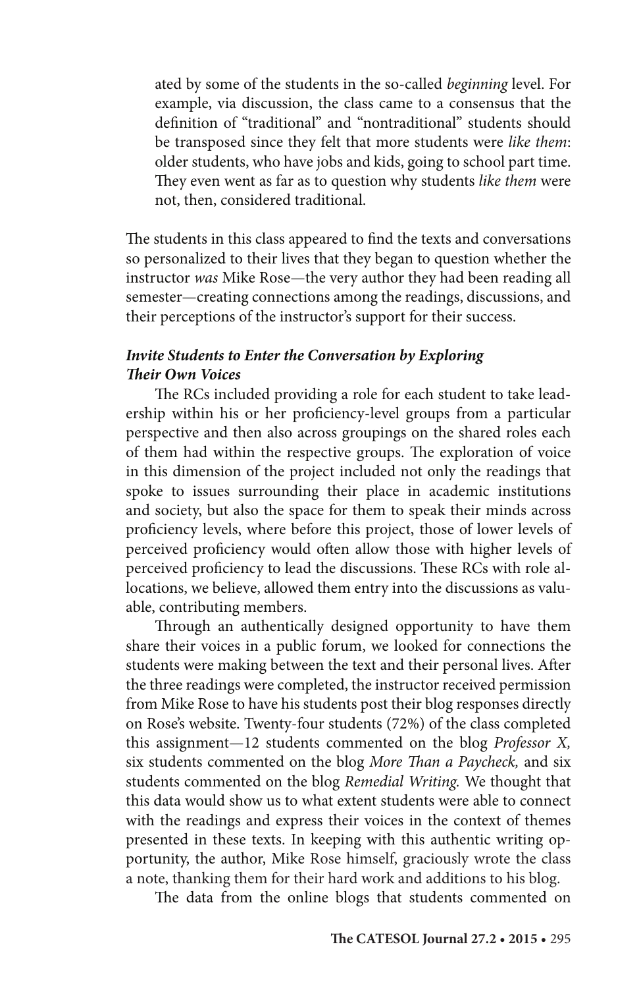ated by some of the students in the so-called *beginning* level. For example, via discussion, the class came to a consensus that the definition of "traditional" and "nontraditional" students should be transposed since they felt that more students were *like them*: older students, who have jobs and kids, going to school part time. They even went as far as to question why students *like them* were not, then, considered traditional.

The students in this class appeared to find the texts and conversations so personalized to their lives that they began to question whether the instructor *was* Mike Rose—the very author they had been reading all semester—creating connections among the readings, discussions, and their perceptions of the instructor's support for their success.

## *Invite Students to Enter the Conversation by Exploring Their Own Voices*

The RCs included providing a role for each student to take leadership within his or her proficiency-level groups from a particular perspective and then also across groupings on the shared roles each of them had within the respective groups. The exploration of voice in this dimension of the project included not only the readings that spoke to issues surrounding their place in academic institutions and society, but also the space for them to speak their minds across proficiency levels, where before this project, those of lower levels of perceived proficiency would often allow those with higher levels of perceived proficiency to lead the discussions. These RCs with role allocations, we believe, allowed them entry into the discussions as valuable, contributing members.

Through an authentically designed opportunity to have them share their voices in a public forum, we looked for connections the students were making between the text and their personal lives. After the three readings were completed, the instructor received permission from Mike Rose to have his students post their blog responses directly on Rose's website. Twenty-four students (72%) of the class completed this assignment—12 students commented on the blog *Professor X,* six students commented on the blog *More Than a Paycheck,* and six students commented on the blog *Remedial Writing.* We thought that this data would show us to what extent students were able to connect with the readings and express their voices in the context of themes presented in these texts. In keeping with this authentic writing opportunity, the author, Mike Rose himself, graciously wrote the class a note, thanking them for their hard work and additions to his blog.

The data from the online blogs that students commented on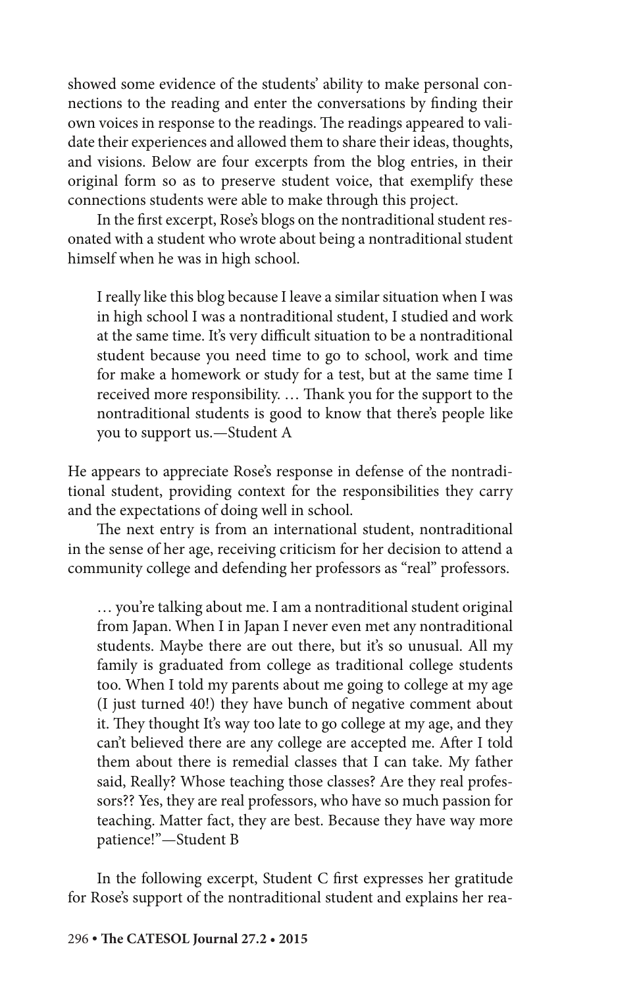showed some evidence of the students' ability to make personal connections to the reading and enter the conversations by finding their own voices in response to the readings. The readings appeared to validate their experiences and allowed them to share their ideas, thoughts, and visions. Below are four excerpts from the blog entries, in their original form so as to preserve student voice, that exemplify these connections students were able to make through this project.

In the first excerpt, Rose's blogs on the nontraditional student resonated with a student who wrote about being a nontraditional student himself when he was in high school.

I really like this blog because I leave a similar situation when I was in high school I was a nontraditional student, I studied and work at the same time. It's very difficult situation to be a nontraditional student because you need time to go to school, work and time for make a homework or study for a test, but at the same time I received more responsibility. … Thank you for the support to the nontraditional students is good to know that there's people like you to support us.—Student A

He appears to appreciate Rose's response in defense of the nontraditional student, providing context for the responsibilities they carry and the expectations of doing well in school.

The next entry is from an international student, nontraditional in the sense of her age, receiving criticism for her decision to attend a community college and defending her professors as "real" professors.

… you're talking about me. I am a nontraditional student original from Japan. When I in Japan I never even met any nontraditional students. Maybe there are out there, but it's so unusual. All my family is graduated from college as traditional college students too. When I told my parents about me going to college at my age (I just turned 40!) they have bunch of negative comment about it. They thought It's way too late to go college at my age, and they can't believed there are any college are accepted me. After I told them about there is remedial classes that I can take. My father said, Really? Whose teaching those classes? Are they real professors?? Yes, they are real professors, who have so much passion for teaching. Matter fact, they are best. Because they have way more patience!"—Student B

In the following excerpt, Student C first expresses her gratitude for Rose's support of the nontraditional student and explains her rea-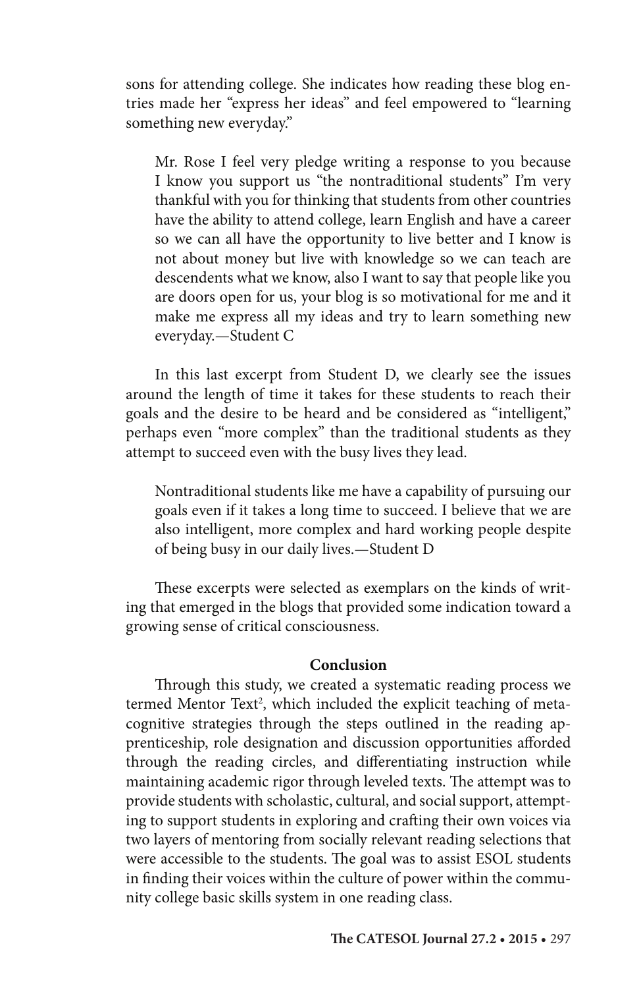sons for attending college. She indicates how reading these blog entries made her "express her ideas" and feel empowered to "learning something new everyday."

Mr. Rose I feel very pledge writing a response to you because I know you support us "the nontraditional students" I'm very thankful with you for thinking that students from other countries have the ability to attend college, learn English and have a career so we can all have the opportunity to live better and I know is not about money but live with knowledge so we can teach are descendents what we know, also I want to say that people like you are doors open for us, your blog is so motivational for me and it make me express all my ideas and try to learn something new everyday.—Student C

In this last excerpt from Student D, we clearly see the issues around the length of time it takes for these students to reach their goals and the desire to be heard and be considered as "intelligent," perhaps even "more complex" than the traditional students as they attempt to succeed even with the busy lives they lead.

Nontraditional students like me have a capability of pursuing our goals even if it takes a long time to succeed. I believe that we are also intelligent, more complex and hard working people despite of being busy in our daily lives.—Student D

These excerpts were selected as exemplars on the kinds of writing that emerged in the blogs that provided some indication toward a growing sense of critical consciousness.

#### **Conclusion**

Through this study, we created a systematic reading process we termed Mentor Text<sup>2</sup>, which included the explicit teaching of metacognitive strategies through the steps outlined in the reading apprenticeship, role designation and discussion opportunities afforded through the reading circles, and differentiating instruction while maintaining academic rigor through leveled texts. The attempt was to provide students with scholastic, cultural, and social support, attempting to support students in exploring and crafting their own voices via two layers of mentoring from socially relevant reading selections that were accessible to the students. The goal was to assist ESOL students in finding their voices within the culture of power within the community college basic skills system in one reading class.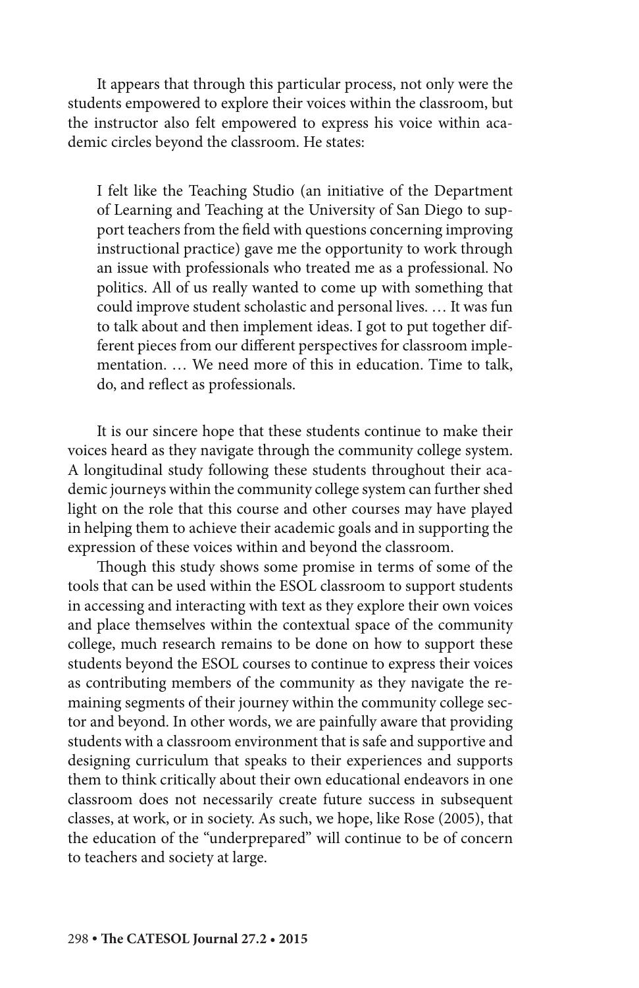It appears that through this particular process, not only were the students empowered to explore their voices within the classroom, but the instructor also felt empowered to express his voice within academic circles beyond the classroom. He states:

I felt like the Teaching Studio (an initiative of the Department of Learning and Teaching at the University of San Diego to support teachers from the field with questions concerning improving instructional practice) gave me the opportunity to work through an issue with professionals who treated me as a professional. No politics. All of us really wanted to come up with something that could improve student scholastic and personal lives. … It was fun to talk about and then implement ideas. I got to put together different pieces from our different perspectives for classroom implementation. … We need more of this in education. Time to talk, do, and reflect as professionals.

It is our sincere hope that these students continue to make their voices heard as they navigate through the community college system. A longitudinal study following these students throughout their academic journeys within the community college system can further shed light on the role that this course and other courses may have played in helping them to achieve their academic goals and in supporting the expression of these voices within and beyond the classroom.

Though this study shows some promise in terms of some of the tools that can be used within the ESOL classroom to support students in accessing and interacting with text as they explore their own voices and place themselves within the contextual space of the community college, much research remains to be done on how to support these students beyond the ESOL courses to continue to express their voices as contributing members of the community as they navigate the remaining segments of their journey within the community college sector and beyond. In other words, we are painfully aware that providing students with a classroom environment that is safe and supportive and designing curriculum that speaks to their experiences and supports them to think critically about their own educational endeavors in one classroom does not necessarily create future success in subsequent classes, at work, or in society. As such, we hope, like Rose (2005), that the education of the "underprepared" will continue to be of concern to teachers and society at large.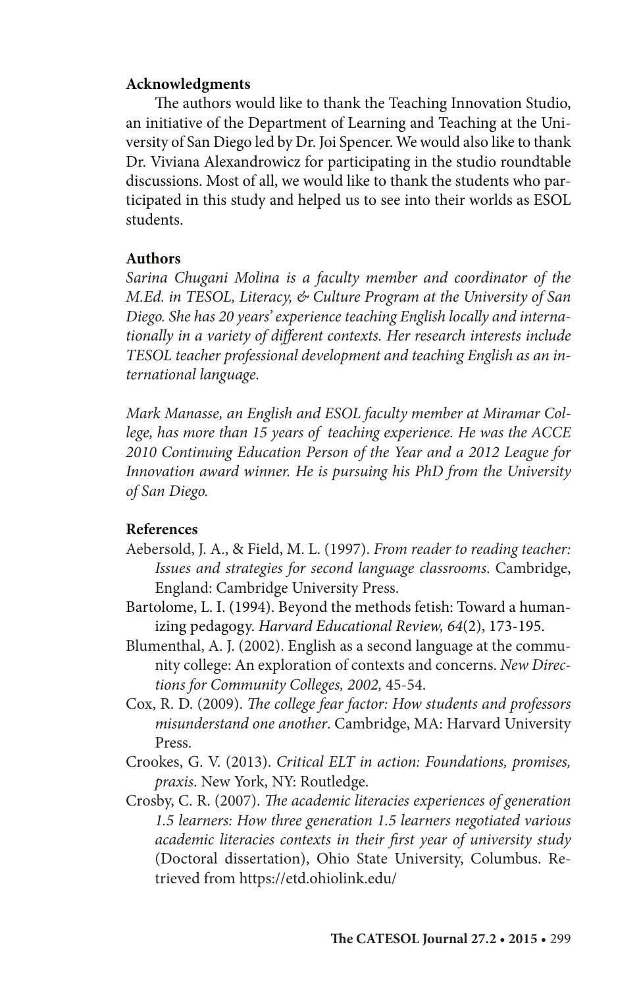## **Acknowledgments**

The authors would like to thank the Teaching Innovation Studio, an initiative of the Department of Learning and Teaching at the University of San Diego led by Dr. Joi Spencer. We would also like to thank Dr. Viviana Alexandrowicz for participating in the studio roundtable discussions. Most of all, we would like to thank the students who participated in this study and helped us to see into their worlds as ESOL students.

## **Authors**

*Sarina Chugani Molina is a faculty member and coordinator of the M.Ed. in TESOL, Literacy, & Culture Program at the University of San Diego. She has 20 years' experience teaching English locally and internationally in a variety of different contexts. Her research interests include TESOL teacher professional development and teaching English as an international language.*

*Mark Manasse, an English and ESOL faculty member at Miramar College, has more than 15 years of teaching experience. He was the ACCE 2010 Continuing Education Person of the Year and a 2012 League for Innovation award winner. He is pursuing his PhD from the University of San Diego.*

## **References**

- Aebersold, J. A., & Field, M. L. (1997). *From reader to reading teacher: Issues and strategies for second language classrooms*. Cambridge, England: Cambridge University Press.
- Bartolome, L. I. (1994). Beyond the methods fetish: Toward a humanizing pedagogy. *Harvard Educational Review, 64*(2), 173-195.
- Blumenthal, A. J. (2002). English as a second language at the community college: An exploration of contexts and concerns. *New Directions for Community Colleges, 2002,* 45-54.
- Cox, R. D. (2009). *The college fear factor: How students and professors misunderstand one another*. Cambridge, MA: Harvard University Press.
- Crookes, G. V. (2013). *Critical ELT in action: Foundations, promises, praxis*. New York, NY: Routledge.
- Crosby, C. R. (2007). *The academic literacies experiences of generation 1.5 learners: How three generation 1.5 learners negotiated various academic literacies contexts in their first year of university study*  (Doctoral dissertation), Ohio State University, Columbus. Retrieved from https://etd.ohiolink.edu/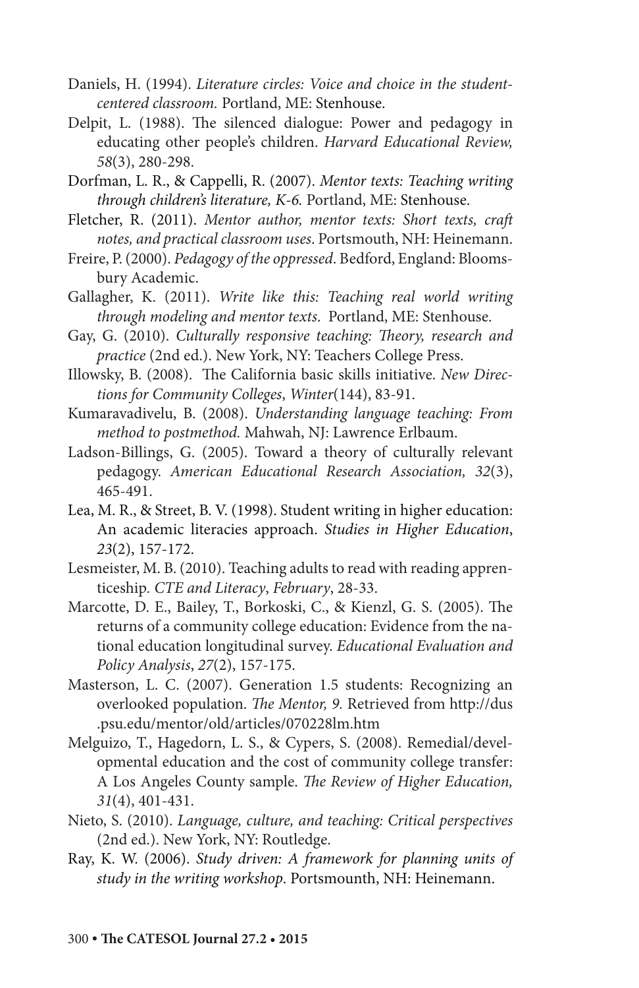- Daniels, H. (1994). *Literature circles: Voice and choice in the studentcentered classroom.* Portland, ME: Stenhouse.
- Delpit, L. (1988). The silenced dialogue: Power and pedagogy in educating other people's children. *Harvard Educational Review, 58*(3), 280-298.
- Dorfman, L. R., & Cappelli, R. (2007). *Mentor texts: Teaching writing through children's literature, K-6.* Portland, ME: Stenhouse.
- Fletcher, R. (2011). *Mentor author, mentor texts: Short texts, craft notes, and practical classroom uses*. Portsmouth, NH: Heinemann.
- Freire, P. (2000). *Pedagogy of the oppressed*. Bedford, England: Bloomsbury Academic.
- Gallagher, K. (2011). *Write like this: Teaching real world writing through modeling and mentor texts*. Portland, ME: Stenhouse.
- Gay, G. (2010). *Culturally responsive teaching: Theory, research and practice* (2nd ed.). New York, NY: Teachers College Press.
- Illowsky, B. (2008). The California basic skills initiative. *New Directions for Community Colleges*, *Winter*(144), 83-91.
- Kumaravadivelu, B. (2008). *Understanding language teaching: From method to postmethod.* Mahwah, NJ: Lawrence Erlbaum.
- Ladson-Billings, G. (2005). Toward a theory of culturally relevant pedagogy. *American Educational Research Association, 32*(3), 465-491.
- Lea, M. R., & Street, B. V. (1998). Student writing in higher education: An academic literacies approach. *Studies in Higher Education*, *23*(2), 157-172.
- Lesmeister, M. B. (2010). Teaching adults to read with reading apprenticeship*. CTE and Literacy*, *February*, 28-33.
- Marcotte, D. E., Bailey, T., Borkoski, C., & Kienzl, G. S. (2005). The returns of a community college education: Evidence from the national education longitudinal survey. *Educational Evaluation and Policy Analysis*, *27*(2), 157-175.
- Masterson, L. C. (2007). Generation 1.5 students: Recognizing an overlooked population. *The Mentor, 9.* Retrieved from http://dus .psu.edu/mentor/old/articles/070228lm.htm
- Melguizo, T., Hagedorn, L. S., & Cypers, S. (2008). Remedial/developmental education and the cost of community college transfer: A Los Angeles County sample. *The Review of Higher Education, 31*(4), 401-431.
- Nieto, S. (2010). *Language, culture, and teaching: Critical perspectives* (2nd ed.). New York, NY: Routledge.
- Ray, K. W. (2006). *Study driven: A framework for planning units of study in the writing workshop*. Portsmounth, NH: Heinemann.